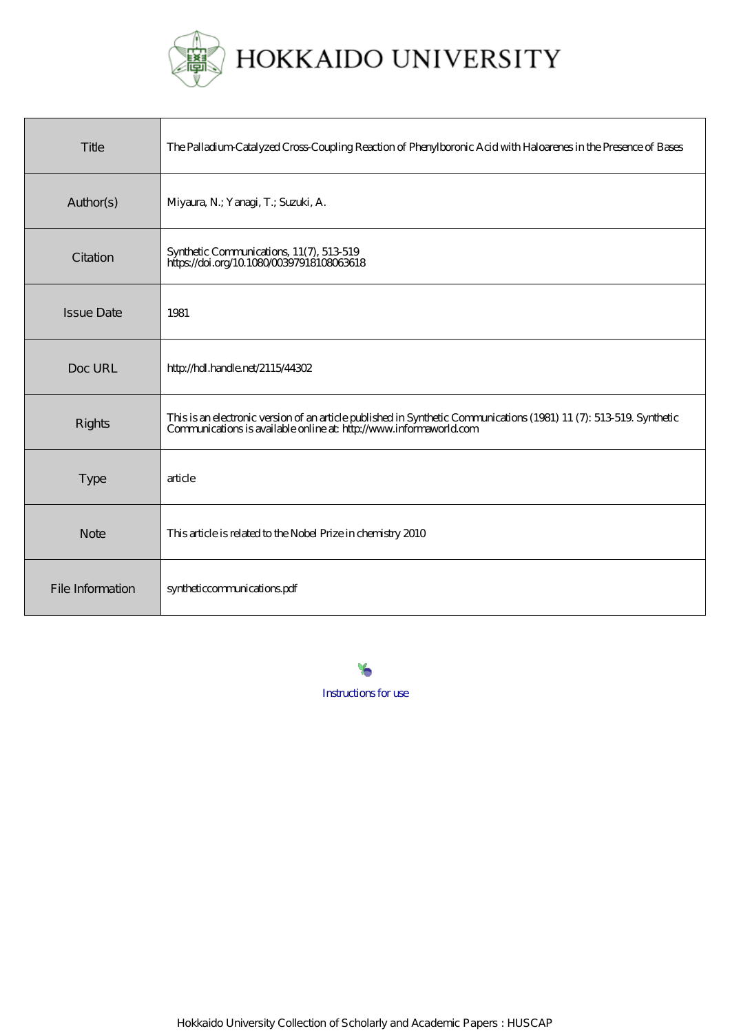

| Title             | The Palladium Catalyzed Cross-Coupling Reaction of Phenylboronic Acid with Haloarenes in the Presence of Bases                                                                            |
|-------------------|-------------------------------------------------------------------------------------------------------------------------------------------------------------------------------------------|
| Author(s)         | Miyaura, N.; Yanagi, T.; Suzuki, A.                                                                                                                                                       |
| Citation          | Synthetic Communications, 11(7), 513-519<br>https://doi.org/10.1080/00397918108063618                                                                                                     |
| <b>Issue Date</b> | 1981                                                                                                                                                                                      |
| Doc URL           | http://hdl.handle.net/2115/44302                                                                                                                                                          |
| Rights            | This is an electronic version of an article published in Synthetic Communications (1981) 11 (7): 513-519. Synthetic<br>Communications is available online at: http://www.informaworld.com |
| <b>Type</b>       | article                                                                                                                                                                                   |
| <b>Note</b>       | This article is related to the Nobel Prize in chemistry 2010                                                                                                                              |
| File Information  | syntheticcommunications.pdf                                                                                                                                                               |

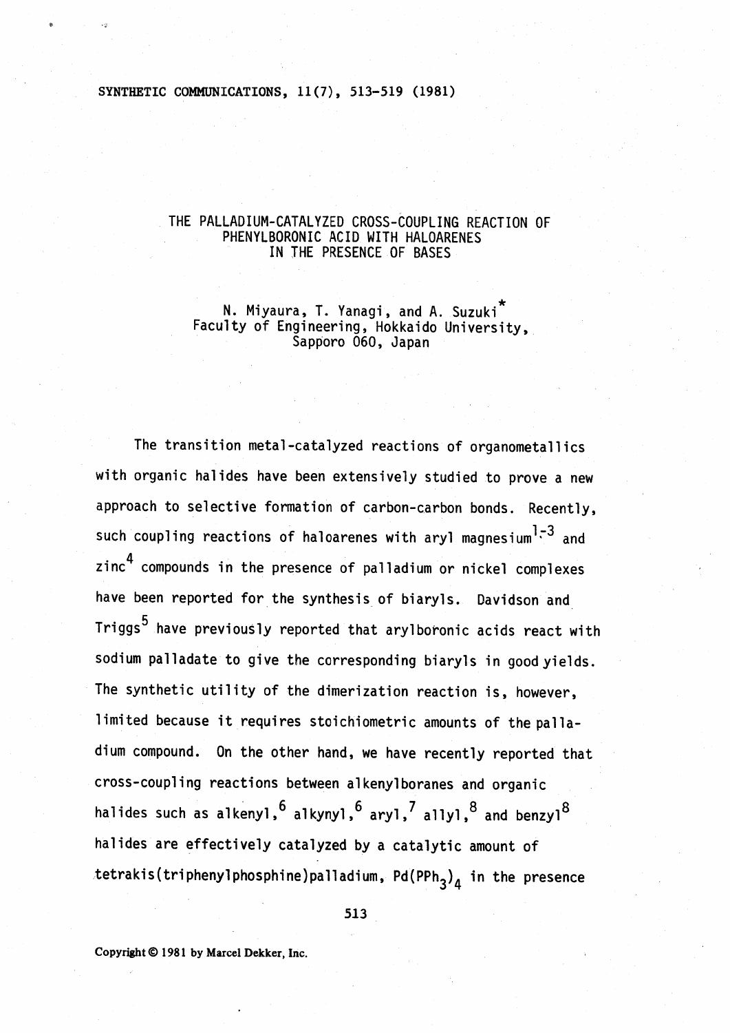## SYNTHETIC COMMUNICATIONS, 11(7), 513-519 (1981)

### THE PALLADIUM-CATALYZED CROSS-COUPLING REACTION OF PHENYLBORONIC ACID WITH HALOARENES IN THE PRESENCE OF BASES

N. Miyaura, T. Yanagi, and A. Suzuki<sup>\*</sup><br>Faculty of Engineering, Hokkaido University,<br>Sapporo 060, Japan

The transition metal-catalyzed reactions of organometallics with organic halides have been extensively studied to prove a new approach to selective formation of carbon-carbon bonds. Recently, such coupling reactions of haloarenes with aryl magnesium<sup>1-3</sup> and zinc<sup>4</sup> compounds in the presence of palladium or nickel complexes have been reported for the synthesis of biaryls. Davidson and Triggs<sup>5</sup> have previously reported that arylboronic acids react with sodium palladate to give the corresponding biaryls in good yields. The synthetic utility of the dimerization reaction is, however, limited because it requires stoichiometric amounts of the palladium compound. On the other hand, we have recently reported that cross-coupling reactions between alkenylboranes and organic halides such as alkenyl,  $^6$  alkynyl,  $^6$  aryl,  $^7$  allyl,  $^8$  and benzyl $^8$ halides are effectively catalyzed by a catalytic amount of tetrakis(triphenylphosphine)palladium, Pd(PPh<sub>3</sub>)<sub>4</sub> in the presence

513

Copyright © 1981 by Marcel Dekker, Inc.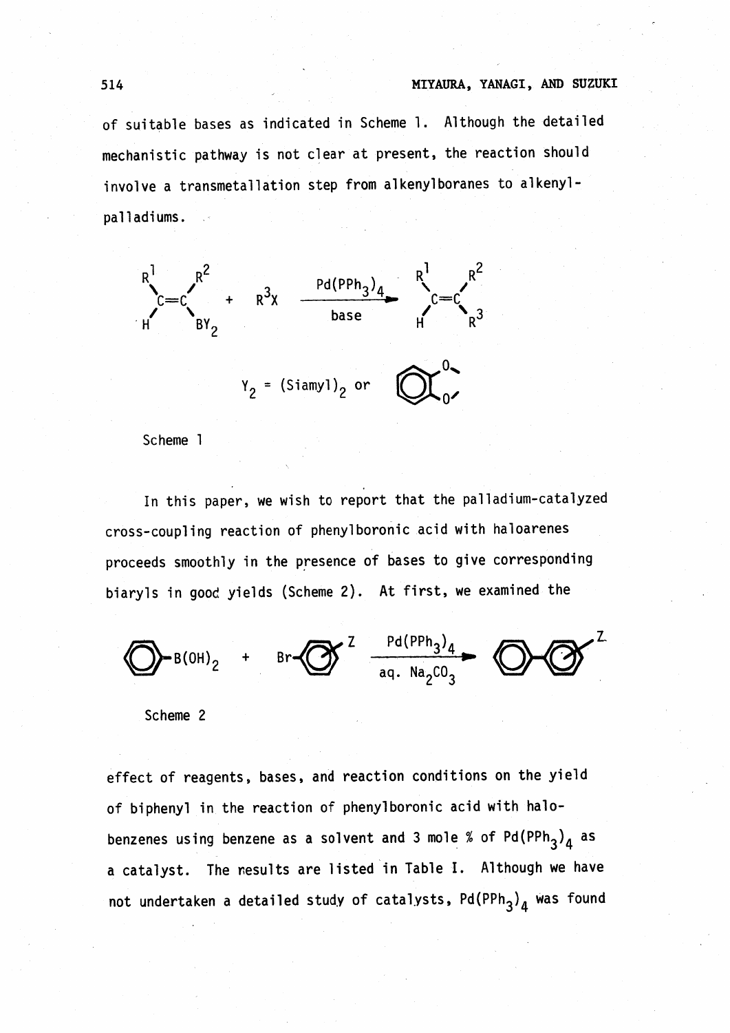## 514 MIYAURA, YANAGI, AND SUZUKI

of suitable bases as indicated in Scheme 1. Although the detailed mechanistic pathway is not clear at present, the reaction should involve a transmetallation step from alkenylboranes to alkenylpalladiums.



Scheme 1

In this paper, we wish to report that the palladium-catalyzed cross-coupling reaction of phenylboronicacid with haloarenes proceeds smoothly in the presence of bases to give corresponding biaryls in good yields (Scheme 2). At first, we examined the

 $\sum B(0H)_2$  + Br $\sum_{\text{aq. Na}_2 \text{CO}_3}^{Z}$ 

Scheme 2

effect of reagents, bases, and reaction conditions on the yield of biphenyl in the reaction of phenylboronic acid with halobenzenes using benzene as a solvent and 3 mole % of Pd(PPh<sub>3</sub>)<sub>4</sub> as a catalyst. The nesults are listed in Table I. Although we have not undertaken a detailed study of catalysts,  $Pd(PPh_3)_4$  was found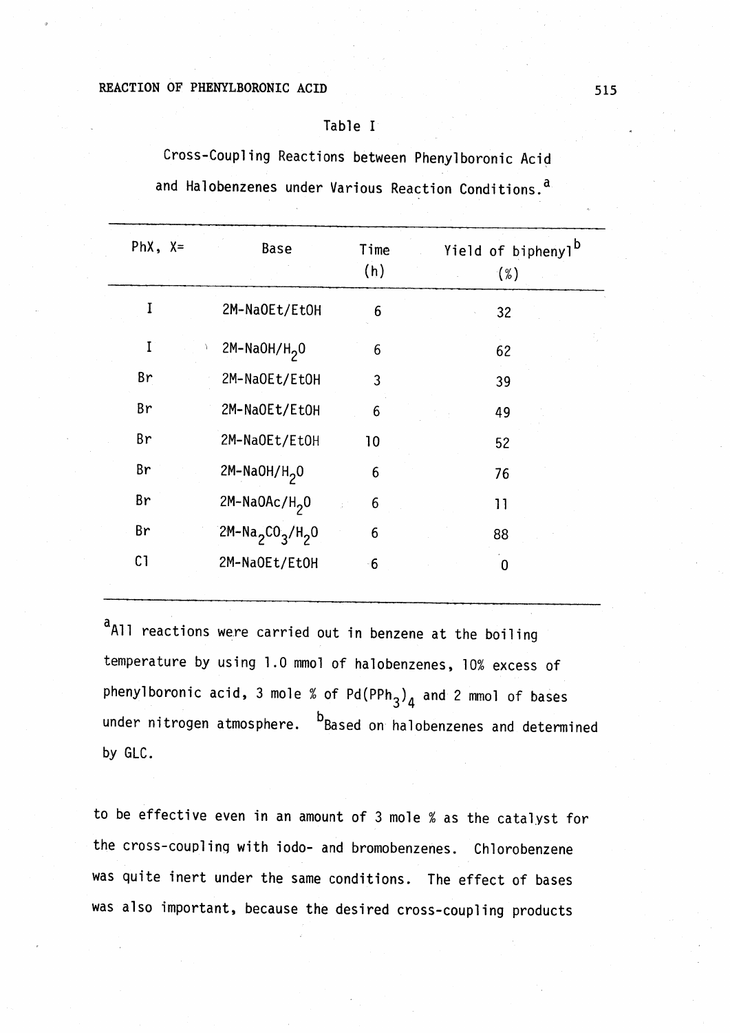#### REACTION OF PHENYLBORONIC ACID

## Table I

Cross-Coupling Reactions between Pheny1boronic Acid and Halobenzenes under Various Reaction Conditions. a

|                | 2M-NaOEt/EtOH      | 6    | 32 |
|----------------|--------------------|------|----|
| I              | $2M-NaOH/H20$      | 6    | 62 |
| Br             | 2M-NaOEt/EtOH      | 3    | 39 |
| Br             | 2M-NaOEt/EtOH      | 6    | 49 |
| Br             | 2M-NaOEt/EtOH      | 10   | 52 |
| Br             | $2M-NaOH/H2O$      | 6    | 76 |
| Br             | $2M-NaOAC/H2O$     | 6    | 11 |
| Br             | $2M-Na_2CO_3/H_2O$ | 6    | 88 |
| C <sub>1</sub> | 2M-NaOEt/EtOH      | $-6$ | 0  |

a<sub>All</sub> reactions were carried out in benzene at the boiling temperature by using 1.0 mmol of ha10benzenes, 10% excess of phenylboronic acid, 3 mole % of  $Pd(PPh_3)_4$  and 2 mmol of bases under nitrogen atmosphere.  $b$ Based on halobenzenes and determined by GLC.

to be effective even in an amount of 3 mole % as the catalyst for the cross-couplinq with iodo- and bromobenzenes. Ch1orobenzene was quite inert under the same conditions. The effect of bases was also important, because the desired cross-coupling products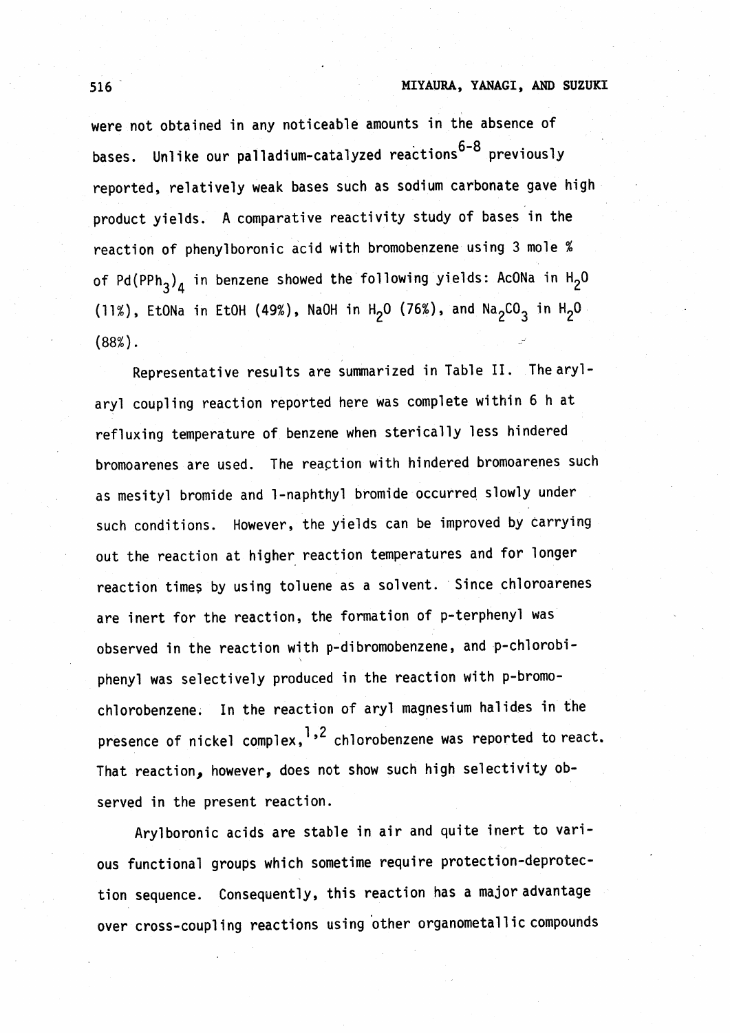## 516 MIYAURA, YANAGI, AND SUZUKI

were not obtained in any noticeable amounts in the absence of bases. Unlike our palladium-catalyzed reactions<sup>6-8</sup> previously reported, relatively weak bases such as sodium carbonate gave high product yields. A comparative reactivity study of bases in the reaction of phenylboronic acid with bromobenzene using 3 mole % of Pd(PPh<sub>3</sub>)<sub>4</sub> in benzene showed the following yields: AcONa in H<sub>2</sub>O (11%), EtONa in EtOH (49%), NaOH in H<sub>2</sub>O (76%), and Na<sub>2</sub>CO<sub>3</sub> in H<sub>2</sub>O (88%).

Representative results are summarized in Table II. The arylaryl coupling reaction reported here was complete within 6 h at refluxing temperature of benzene when sterically less hindered bromoarenes are used. The reaction with hindered bromoarenes such as mesityl bromide and l-naphthyl bromide occurred slowly under such conditions. However, the yields can be improved by carrying out the reaction at higher reaction temperatures and for longer reaction times by using toluene as a solvent. Since chloroarenes are inert for the reaction, the formation of p-terphenyl was observed in the reaction with p-dibromobenzene, and p-chlorobi- $\ddot{\phantom{1}}$ phenyl was selectively produced in the reaction with p-bromochlorobenzene. In the reaction of aryl magnesium halides in the presence of nickel complex,<sup>1,2</sup> chlorobenzene was reported to react. That reaction, however, does not show such high selectivity observed in the present reaction.

Arylboronic acids are stable in air and quite inert to various functional groups which sometime require protection-deprotection sequence. Consequently, this reaction has a major advantage over cross-coupling reactions using other organometallic compounds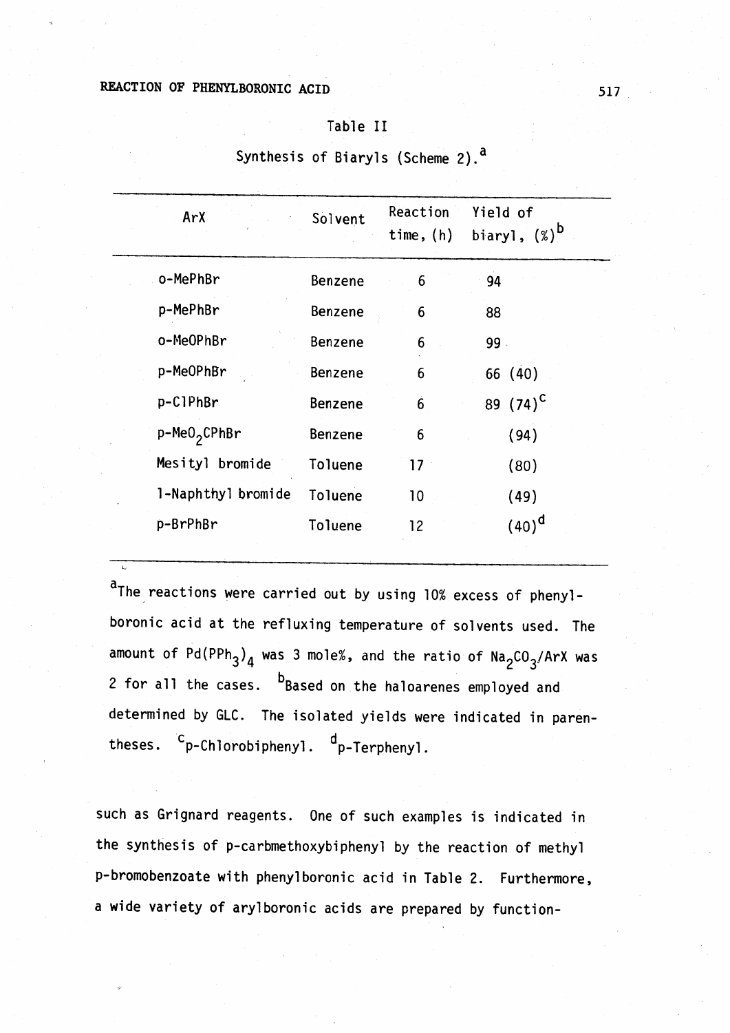# REACTION OF PHENYLBORONIC ACID 517

t..

#### Table II

| ArX                      | Solvent        | Reaction<br>time, $(h)$ | Yield of<br>biaryl, $(\%)^D$ |
|--------------------------|----------------|-------------------------|------------------------------|
| o-MePhBr                 | Benzene        | 6                       | 94                           |
| p-MePhBr                 | <b>Benzene</b> | 6                       | 88                           |
| o-MeOPhBr                | Benzene        | 6                       | 99.                          |
| p-MeOPhBr                | Benzene        | 6                       | 66 (40)                      |
| p-C1PhBr                 | <b>Benzene</b> | $\ddot{6}$              | 89 $(74)^{C}$                |
| p-MeO <sub>2</sub> CPhBr | <b>Benzene</b> | 6                       | (94)                         |
| Mesityl bromide          | Toluene        | $17 \,$                 | (80)                         |
| 1-Naphthyl bromide       | Toluene        | 10                      | (49)                         |
| p-BrPhBr                 | Toluene        | 12                      | $(40)^d$                     |
|                          |                |                         |                              |

Synthesis of Biaryls (Scheme 2).<sup>a</sup>

aThe reactions were carried out by using 10% excess of phenylboronic acid at the refluxing temperature of solvents used. The amount of  $Pd(PPh_3)_4$  was 3 mole%, and the ratio of  $Na_2CO_3/ArX$  was 2 for all the cases.  $b$ Based on the haloarenes employed and determined by GLC. The isolated yields were indicated in parentheses.  $c_p$ -Chlorobiphenyl.  $d_p$ -Terphenyl.

such as Grignard reagents. One of such examples is indicated in the synthesis of p-carbmethoxybiphenyl by the reaction of methyl p-bromobenzoate with phenylboronic acid in Table 2. Furthermore, a wide variety of arylboronic acids are prepared by function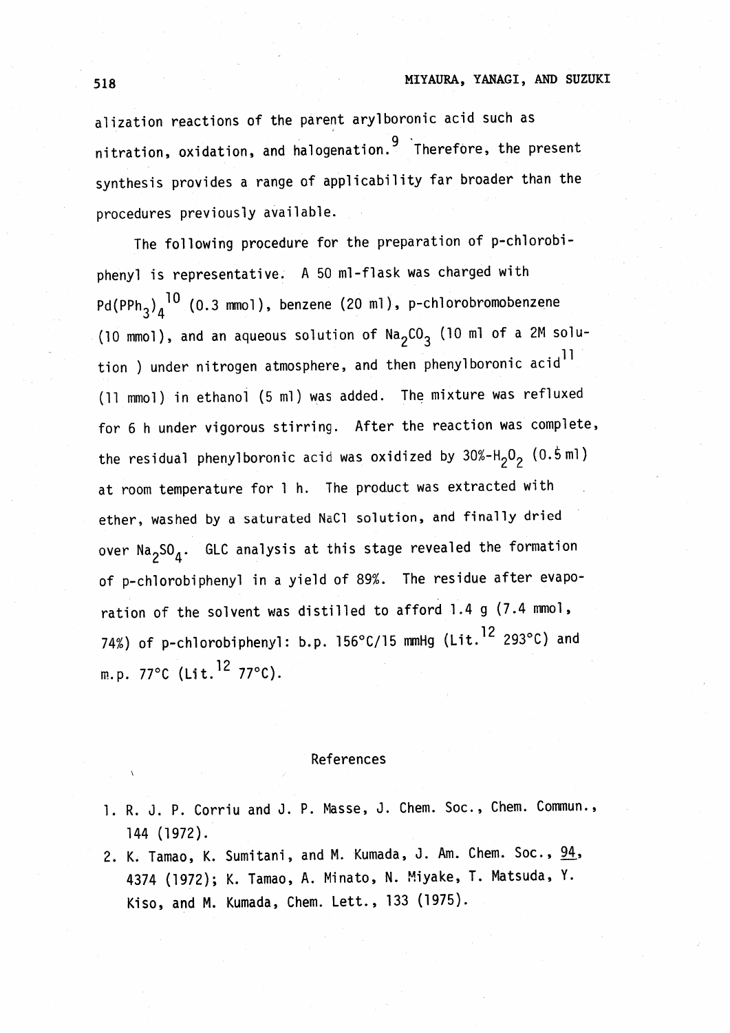alization reactions of the parent arylboronic acid such as nitration, oxidation, and halogenation. <sup>9</sup> Therefore, the present synthesis provides a range of applicability far broader than the procedures previously available.

The following procedure for the preparation of p-ch1orobiphenyl is representative. A 50 m1-f1ask was charged with  $Pd(PPh_3)_A^{-10}$  (0.3 mmol), benzene (20 ml), p-chlorobromobenzene (10 mmol), and an aqueous solution of  $\text{Na}_2\text{CO}_3$  (10 ml of a 2M solution ) under nitrogen atmosphere, and then phenylboronic acid<sup>11</sup> (11 mmol) in ethanol (5 ml) was added. The mixture was refluxed for 6 h under vigorous stirring. After the reaction was complete, the residual phenylboronic acid was oxidized by  $30\% - H_2O_2$  (0.5ml) at room temperature for 1 h. The product was extracted with ether, washed by a saturated NaCl solution, and finally dried over  $\text{Na}_2\text{SO}_4$ . GLC analysis at this stage revealed the formation of p-ch1orobiphenyl in a yield of 89%. The residue after evaporation of the solvent was distilled to afford 1.4 g (7.4 mmo1, 74%) of p-chlorobiphenyl: b.p. 156°C/15 mmHg (Lit.<sup>12</sup> 293°C) and m.p. 77°C (Lit. 12 77°C).

#### References

- 1. R. J. P. Corriu and J. P. Masse, J. Chem. Soc., Chem. Commun., 144 (1972).
- 2. K. Tamao, K. Sumitani, and M. Kumada, J. Am. Chem. Soc., 94, 4374 (1972); K. Tamao, A. Minato, N. Miyake, T. Matsuda, Y. Kiso, and M. Kumada, Chem. Lett., 133 (1975).